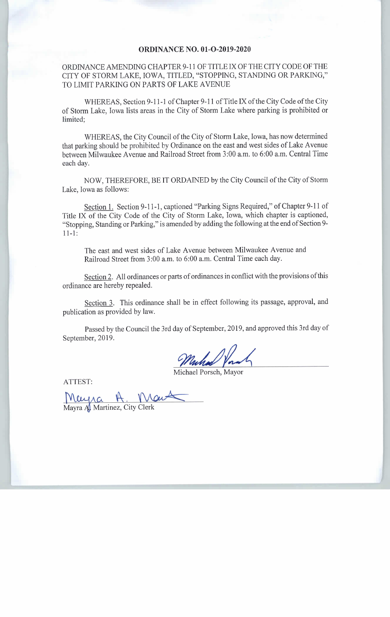## ORDINANCE NO. 01-O-2019-2020

## ORDINANCE AMENDING CHAPTER 9-11 OF TITLE IX OF THE CITY CODE OF THE CITY OF STORM LAKE, IOWA, TITLED, "STOPPING, STANDING OR PARKING," TO LIMIT PARKING ON PARTS OF LAKE AVENUE

WHEREAS, Section 9-11-1 of Chapter 9-11 of Title IX of the City Code of the City of Storm Lake, Iowa lists areas in the City of Storm Lake where parking is prohibited or limited;

WHEREAS, the City Council of the City of Storm Lake, Iowa, has now determined that parking should be prohibited by Ordinance on the east and west sides of Lake Avenue between Milwaukee Avenue and Railroad Street from 3:00 a.m. to 6:00 a.m. Central Time each day.

NOW, THEREFORE, BE IT ORDAINED by the City Council of the City of Storm Lake, Iowa as follows:

Section 1. Section 9-11-1, captioned "Parking Signs Required," of Chapter 9-11 of Title IX of the City Code of the City of Storm Lake, Iowa, which chapter is captioned, Stopping, Standing or Parking," is amended by adding the following at the end of Section 9-  $11 - 1:$ 

The east and west sides of Lake Avenue between Milwaukee Avenue and Railroad Street from 3:00 a.m. to 6:00 a.m. Central Time each day.

Section 2. All ordinances or parts of ordinances in conflict with the provisions of this ordinance are hereby repealed.

Section 3. This ordinance shall be in effect following its passage, approval, and publication as provided by law.

Passed by the Council the 3rd day of September, 2019, and approved this 3rd day of September, 2019.

Michael Porsch, Mayo

ATTEST:

Mayra A. Martinez, City Clerk